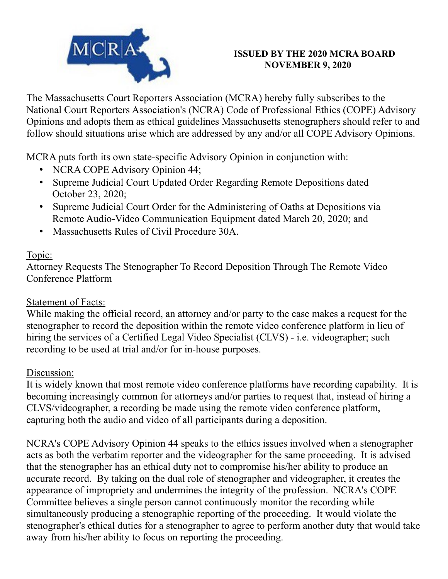

### **ISSUED BY THE 2020 MCRA BOARD NOVEMBER 9, 2020**

The Massachusetts Court Reporters Association (MCRA) hereby fully subscribes to the National Court Reporters Association's (NCRA) Code of Professional Ethics (COPE) Advisory Opinions and adopts them as ethical guidelines Massachusetts stenographers should refer to and follow should situations arise which are addressed by any and/or all COPE Advisory Opinions.

MCRA puts forth its own state-specific Advisory Opinion in conjunction with:

- NCRA COPE Advisory Opinion 44;
- Supreme Judicial Court Updated Order Regarding Remote Depositions dated October 23, 2020;
- Supreme Judicial Court Order for the Administering of Oaths at Depositions via Remote Audio-Video Communication Equipment dated March 20, 2020; and
- Massachusetts Rules of Civil Procedure 30A.

## Topic:

Attorney Requests The Stenographer To Record Deposition Through The Remote Video Conference Platform

## Statement of Facts:

While making the official record, an attorney and/or party to the case makes a request for the stenographer to record the deposition within the remote video conference platform in lieu of hiring the services of a Certified Legal Video Specialist (CLVS) - i.e. videographer; such recording to be used at trial and/or for in-house purposes.

## Discussion:

It is widely known that most remote video conference platforms have recording capability. It is becoming increasingly common for attorneys and/or parties to request that, instead of hiring a CLVS/videographer, a recording be made using the remote video conference platform, capturing both the audio and video of all participants during a deposition.

NCRA's COPE Advisory Opinion 44 speaks to the ethics issues involved when a stenographer acts as both the verbatim reporter and the videographer for the same proceeding. It is advised that the stenographer has an ethical duty not to compromise his/her ability to produce an accurate record. By taking on the dual role of stenographer and videographer, it creates the appearance of impropriety and undermines the integrity of the profession. NCRA's COPE Committee believes a single person cannot continuously monitor the recording while simultaneously producing a stenographic reporting of the proceeding. It would violate the stenographer's ethical duties for a stenographer to agree to perform another duty that would take away from his/her ability to focus on reporting the proceeding.